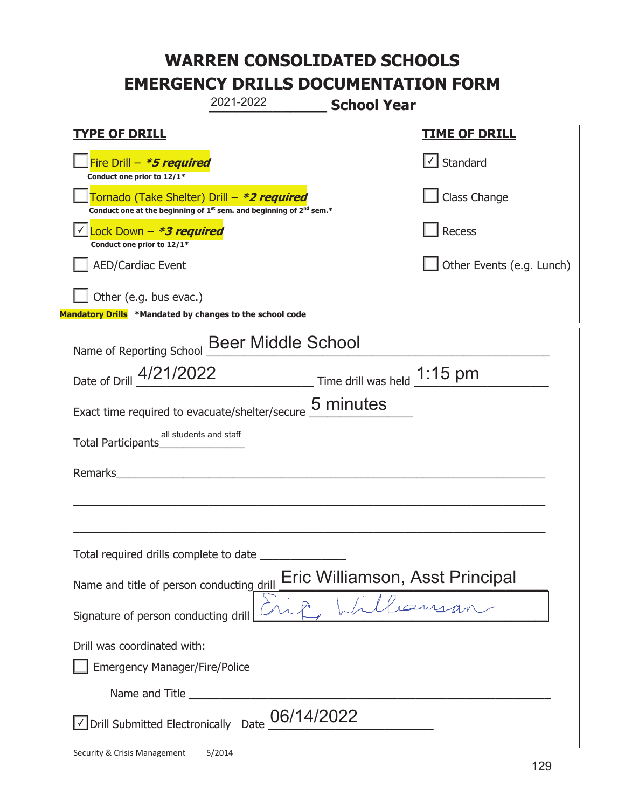|                                                                                    | 2021-2022                                                                                                                                 | <b>School Year</b> |                                 |
|------------------------------------------------------------------------------------|-------------------------------------------------------------------------------------------------------------------------------------------|--------------------|---------------------------------|
| <b>TYPE OF DRILL</b>                                                               |                                                                                                                                           |                    | <u>TIME OF DRILL</u>            |
| Fire Drill - *5 required<br>Conduct one prior to 12/1*                             |                                                                                                                                           |                    | √ Standard                      |
|                                                                                    | Tornado (Take Shelter) Drill – *2 required<br>Conduct one at the beginning of 1 <sup>st</sup> sem. and beginning of 2 <sup>nd</sup> sem.* |                    | Class Change                    |
| Lock Down - <b>*3 required</b><br>Conduct one prior to 12/1*                       |                                                                                                                                           |                    | Recess                          |
| <b>AED/Cardiac Event</b>                                                           |                                                                                                                                           |                    | Other Events (e.g. Lunch)       |
| Other (e.g. bus evac.)<br>Mandatory Drills *Mandated by changes to the school code |                                                                                                                                           |                    |                                 |
| Name of Reporting School                                                           | <b>Beer Middle School</b>                                                                                                                 |                    |                                 |
| Date of Drill 4/21/2022                                                            | $\frac{1.15 \text{ pm}}{}$ Time drill was held $\frac{1.15 \text{ pm}}{}$                                                                 |                    |                                 |
| Exact time required to evacuate/shelter/secure                                     |                                                                                                                                           | 5 minutes          |                                 |
| Total Participants                                                                 | all students and staff                                                                                                                    |                    |                                 |
| Remarks                                                                            |                                                                                                                                           |                    |                                 |
|                                                                                    |                                                                                                                                           |                    |                                 |
| Total required drills complete to date                                             |                                                                                                                                           |                    |                                 |
| Name and title of person conducting drill                                          |                                                                                                                                           |                    | Eric Williamson, Asst Principal |
| Signature of person conducting drill                                               |                                                                                                                                           |                    |                                 |
| Drill was coordinated with:<br><b>Emergency Manager/Fire/Police</b>                |                                                                                                                                           |                    |                                 |
|                                                                                    |                                                                                                                                           |                    |                                 |
| Drill Submitted Electronically Date                                                | 06/14/2022                                                                                                                                |                    |                                 |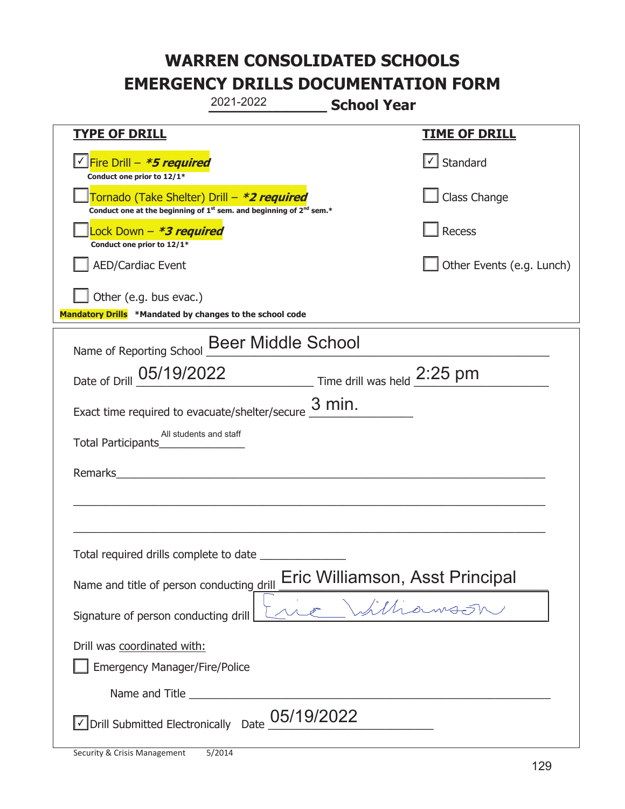|                                                                                    | 2021-2022                                                                     | <b>School Year</b> |                                 |
|------------------------------------------------------------------------------------|-------------------------------------------------------------------------------|--------------------|---------------------------------|
| <b>TYPE OF DRILL</b>                                                               |                                                                               |                    | <u>TIME OF DRILL</u>            |
| <u>√ Fire Drill – <i>*5 required</i></u><br>Conduct one prior to 12/1*             |                                                                               |                    | $\vert$ Standard                |
| Tornado (Take Shelter) Drill – *2 required                                         | Conduct one at the beginning of $1^{st}$ sem. and beginning of $2^{nd}$ sem.* |                    | Class Change                    |
| Lock Down – <b>*<i>3 required</i></b><br>Conduct one prior to 12/1*                |                                                                               |                    | Recess                          |
| <b>AED/Cardiac Event</b>                                                           |                                                                               |                    | Other Events (e.g. Lunch)       |
| Other (e.g. bus evac.)<br>Mandatory Drills *Mandated by changes to the school code |                                                                               |                    |                                 |
| Name of Reporting School                                                           | <b>Beer Middle School</b>                                                     |                    |                                 |
| Date of Drill 05/19/2022 Time drill was held 2:25 pm                               |                                                                               |                    |                                 |
| Exact time required to evacuate/shelter/secure                                     |                                                                               | $3$ min.           |                                 |
| Total Participants                                                                 | All students and staff                                                        |                    |                                 |
| Remarks                                                                            |                                                                               |                    |                                 |
|                                                                                    |                                                                               |                    |                                 |
| Total required drills complete to date                                             |                                                                               |                    |                                 |
| Name and title of person conducting drill                                          |                                                                               |                    | Eric Williamson, Asst Principal |
| Signature of person conducting drill                                               |                                                                               |                    | Williamson,                     |
| Drill was coordinated with:<br><b>Emergency Manager/Fire/Police</b>                |                                                                               |                    |                                 |
|                                                                                    |                                                                               |                    |                                 |
| $\sqrt{}$ Drill Submitted Electronically Date                                      | 05/19/2022                                                                    |                    |                                 |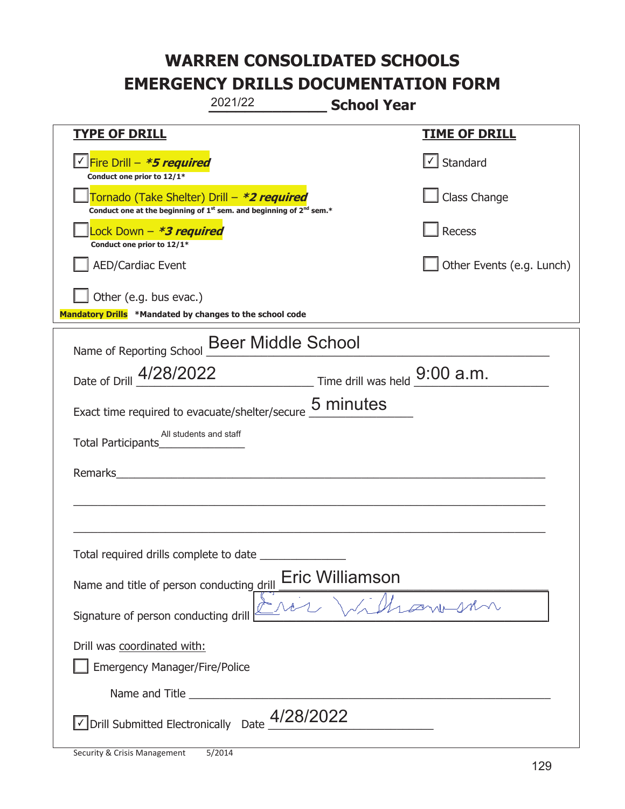|                                                                                    | 2021/22                                                                                     | <b>School Year</b>                                        |  |
|------------------------------------------------------------------------------------|---------------------------------------------------------------------------------------------|-----------------------------------------------------------|--|
| <b>TYPE OF DRILL</b>                                                               |                                                                                             | <u>TIME OF DRILL</u>                                      |  |
| <u>√ Fire Drill – *5 required</u><br>Conduct one prior to 12/1*                    |                                                                                             | $\cup$ Standard                                           |  |
| Tornado (Take Shelter) Drill – *2 required                                         | Conduct one at the beginning of 1 <sup>st</sup> sem. and beginning of 2 <sup>nd</sup> sem.* | Class Change                                              |  |
| Lock Down – <b>*<i>3 required</i></b><br>Conduct one prior to 12/1*                |                                                                                             | Recess                                                    |  |
| <b>AED/Cardiac Event</b>                                                           |                                                                                             | Other Events (e.g. Lunch)                                 |  |
| Other (e.g. bus evac.)<br>Mandatory Drills *Mandated by changes to the school code |                                                                                             |                                                           |  |
| Name of Reporting School                                                           | <b>Beer Middle School</b>                                                                   |                                                           |  |
|                                                                                    |                                                                                             | Date of Drill $4/28/2022$ Time drill was held $9:00$ a.m. |  |
| Exact time required to evacuate/shelter/secure                                     |                                                                                             | 5 minutes                                                 |  |
| All students and staff<br>Total Participants                                       |                                                                                             |                                                           |  |
| Remarks                                                                            | <u> 1980 - Jan Barbara Barbara, masa ka</u>                                                 |                                                           |  |
|                                                                                    |                                                                                             |                                                           |  |
| Total required drills complete to date                                             |                                                                                             |                                                           |  |
| Name and title of person conducting drill                                          |                                                                                             | <b>Eric Williamson</b>                                    |  |
| Signature of person conducting drill                                               |                                                                                             | Hismoson                                                  |  |
| Drill was coordinated with:<br><b>Emergency Manager/Fire/Police</b>                |                                                                                             |                                                           |  |
|                                                                                    |                                                                                             |                                                           |  |
|                                                                                    | $\sqrt{2}$ Drill Submitted Electronically Date $\frac{4/28/2022}{2}$                        |                                                           |  |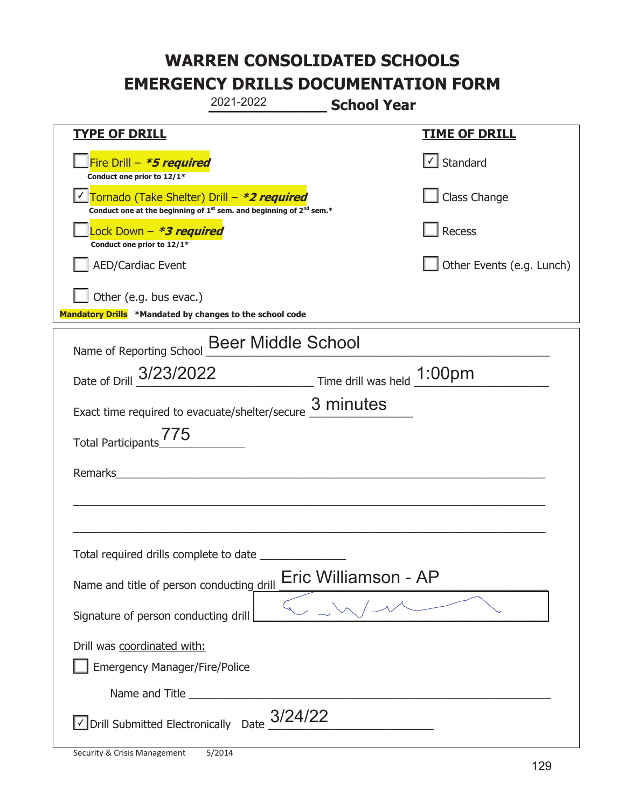|                                                                                    | 2021-2022                                                                                   | <b>School Year</b>   |                           |
|------------------------------------------------------------------------------------|---------------------------------------------------------------------------------------------|----------------------|---------------------------|
| <b>TYPE OF DRILL</b>                                                               |                                                                                             |                      | <b>TIME OF DRILL</b>      |
| Fire Drill - *5 required<br>Conduct one prior to 12/1*                             |                                                                                             |                      | $\cup$ Standard           |
| Tornado (Take Shelter) Drill – *2 required                                         | Conduct one at the beginning of 1 <sup>st</sup> sem. and beginning of 2 <sup>nd</sup> sem.* |                      | Class Change              |
| Lock Down - <b>*3 required</b><br>Conduct one prior to 12/1*                       |                                                                                             |                      | Recess                    |
| AED/Cardiac Event                                                                  |                                                                                             |                      | Other Events (e.g. Lunch) |
| Other (e.g. bus evac.)<br>Mandatory Drills *Mandated by changes to the school code |                                                                                             |                      |                           |
| Name of Reporting School                                                           | <b>Beer Middle School</b>                                                                   |                      |                           |
| Date of Drill 3/23/2022 Time drill was held 1:00pm                                 |                                                                                             |                      |                           |
| Exact time required to evacuate/shelter/secure $\frac{3 \text{ minutes}}{4}$       |                                                                                             |                      |                           |
| Total Participants <sup>775</sup>                                                  |                                                                                             |                      |                           |
| Remarks                                                                            |                                                                                             |                      |                           |
|                                                                                    |                                                                                             |                      |                           |
| Total required drills complete to date                                             |                                                                                             |                      |                           |
| Name and title of person conducting drill                                          |                                                                                             | Eric Williamson - AP |                           |
| Signature of person conducting drill                                               |                                                                                             |                      |                           |
| Drill was coordinated with:<br><b>Emergency Manager/Fire/Police</b>                |                                                                                             |                      |                           |
|                                                                                    |                                                                                             |                      |                           |
| $\vee$ Drill Submitted Electronically Date $\frac{3/24/22}{\cdots}$                |                                                                                             |                      |                           |

t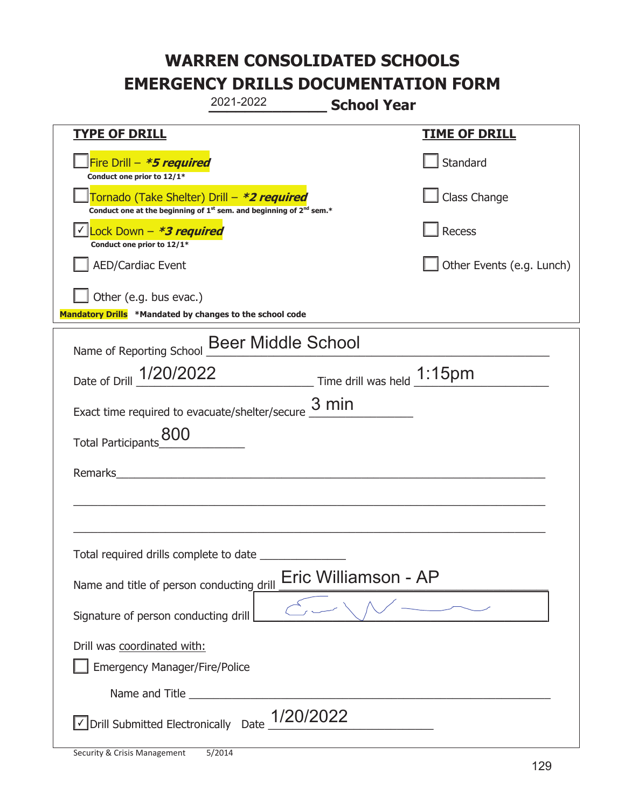|                                                                                    | 2021-2022                                                                     | <b>School Year</b>         |
|------------------------------------------------------------------------------------|-------------------------------------------------------------------------------|----------------------------|
| <u>TYPE OF DRILL</u>                                                               |                                                                               | <b>TIME OF DRILL</b>       |
| Fire Drill - *5 required<br>Conduct one prior to 12/1*                             |                                                                               | Standard                   |
| Tornado (Take Shelter) Drill – *2 required                                         | Conduct one at the beginning of $1^{st}$ sem. and beginning of $2^{nd}$ sem.* | Class Change               |
| Lock Down - *3 required<br>Conduct one prior to 12/1*                              |                                                                               | Recess                     |
| <b>AED/Cardiac Event</b>                                                           |                                                                               | Other Events (e.g. Lunch)  |
| Other (e.g. bus evac.)<br>Mandatory Drills *Mandated by changes to the school code |                                                                               |                            |
| Name of Reporting School                                                           | <b>Beer Middle School</b>                                                     |                            |
| Date of Drill 1/20/2022                                                            |                                                                               | Time drill was held 1:15pm |
|                                                                                    | Exact time required to evacuate/shelter/secure $\frac{3 \text{ min}}{2}$      |                            |
| 800<br><b>Total Participants</b>                                                   |                                                                               |                            |
| Remarks                                                                            |                                                                               |                            |
|                                                                                    |                                                                               |                            |
| Total required drills complete to date                                             |                                                                               |                            |
| Name and title of person conducting drill                                          |                                                                               | Eric Williamson - AP       |
| Signature of person conducting drill                                               |                                                                               |                            |
| Drill was coordinated with:<br><b>Emergency Manager/Fire/Police</b>                |                                                                               |                            |
|                                                                                    |                                                                               |                            |
| √ Drill Submitted Electronically Date                                              | 1/20/2022                                                                     |                            |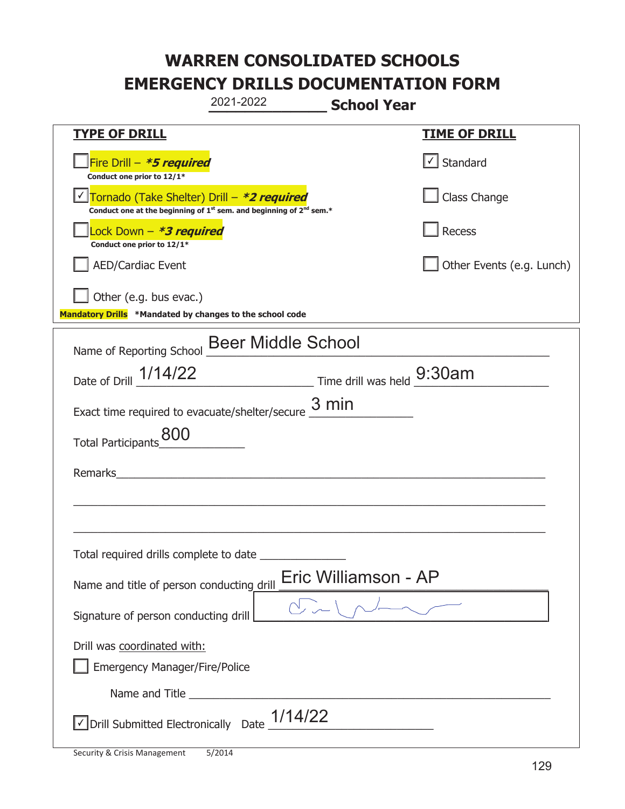|                                                                                    | 2021-2022                                                                                   | <b>School Year</b>   |                                   |
|------------------------------------------------------------------------------------|---------------------------------------------------------------------------------------------|----------------------|-----------------------------------|
| <b>TYPE OF DRILL</b>                                                               |                                                                                             |                      | <u>TIME OF DRILL</u>              |
| Fire Drill - *5 required<br>Conduct one prior to 12/1*                             |                                                                                             |                      | $\lfloor \angle \rfloor$ Standard |
| Tornado (Take Shelter) Drill – *2 required                                         | Conduct one at the beginning of 1 <sup>st</sup> sem. and beginning of 2 <sup>nd</sup> sem.* |                      | Class Change                      |
| ock Down – <b>*3 required</b><br>Conduct one prior to 12/1*                        |                                                                                             |                      | Recess                            |
| AED/Cardiac Event                                                                  |                                                                                             |                      | Other Events (e.g. Lunch)         |
| Other (e.g. bus evac.)<br>Mandatory Drills *Mandated by changes to the school code |                                                                                             |                      |                                   |
| Name of Reporting School Beer Middle School                                        |                                                                                             |                      |                                   |
| Date of Drill 1/14/22 Time drill was held 9:30am                                   |                                                                                             |                      |                                   |
| Exact time required to evacuate/shelter/secure $\underline{3}\,\text{min}$         |                                                                                             |                      |                                   |
| Total Participants_800                                                             |                                                                                             |                      |                                   |
| Remarks                                                                            |                                                                                             |                      |                                   |
|                                                                                    |                                                                                             |                      |                                   |
|                                                                                    |                                                                                             |                      |                                   |
| Total required drills complete to date                                             |                                                                                             |                      |                                   |
| Name and title of person conducting drill                                          |                                                                                             | Eric Williamson - AP |                                   |
| Signature of person conducting drill                                               |                                                                                             |                      |                                   |
| Drill was coordinated with:<br><b>Emergency Manager/Fire/Police</b>                |                                                                                             |                      |                                   |
|                                                                                    |                                                                                             |                      |                                   |
| √ Drill Submitted Electronically Date                                              | 1/14/22                                                                                     |                      |                                   |

t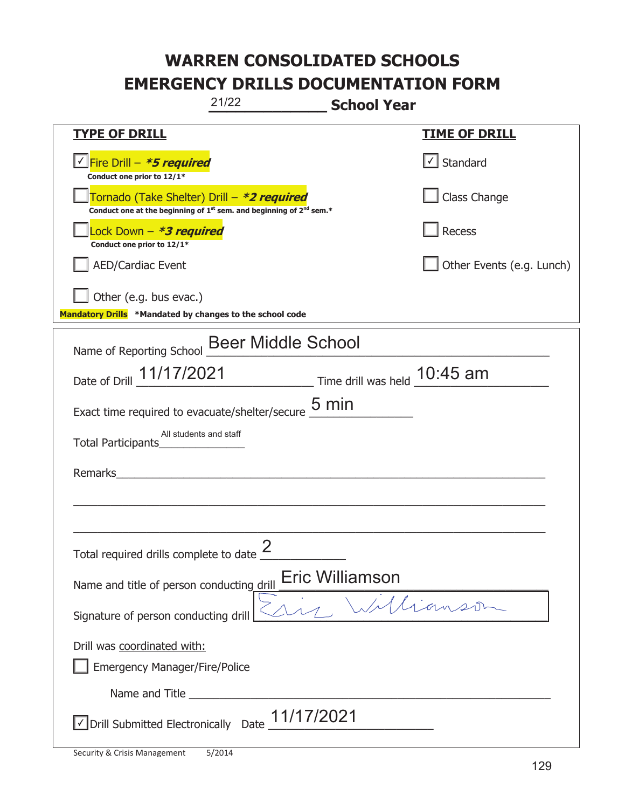| 21/22<br><b>School Year</b>                                                                                                               |                           |
|-------------------------------------------------------------------------------------------------------------------------------------------|---------------------------|
| <b>TYPE OF DRILL</b>                                                                                                                      | <u>TIME OF DRILL</u>      |
| √ Fire Drill – <i>*<b>5 required</b></i><br>Conduct one prior to 12/1*                                                                    | √ Standard                |
| Tornado (Take Shelter) Drill – *2 required<br>Conduct one at the beginning of 1 <sup>st</sup> sem. and beginning of 2 <sup>nd</sup> sem.* | Class Change              |
| ock Down - <b>*3 required</b><br>Conduct one prior to 12/1*                                                                               | <b>Recess</b>             |
| <b>AED/Cardiac Event</b>                                                                                                                  | Other Events (e.g. Lunch) |
| Other (e.g. bus evac.)<br>Mandatory Drills *Mandated by changes to the school code                                                        |                           |
| <b>Beer Middle School</b><br>Name of Reporting School                                                                                     |                           |
| Date of Drill 11/17/2021 Time drill was held 10:45 am                                                                                     |                           |
| Exact time required to evacuate/shelter/secure $\underline{\mathbf{5}}$ min                                                               |                           |
| All students and staff<br>Total Participants                                                                                              |                           |
| Remarks<br><u> 1980 - Jan Stein Stein Stein Stein Stein Stein Stein Stein Stein Stein Stein Stein Stein Stein Stein Stein S</u>           |                           |
|                                                                                                                                           |                           |
| Total required drills complete to date $\frac{2}{3}$                                                                                      |                           |
| Eric Williamson<br>Name and title of person conducting drill                                                                              |                           |
| Signature of person conducting drill                                                                                                      |                           |
| Drill was coordinated with:<br><b>Emergency Manager/Fire/Police</b>                                                                       |                           |
|                                                                                                                                           |                           |
| √Drill Submitted Electronically Date 11/17/2021                                                                                           |                           |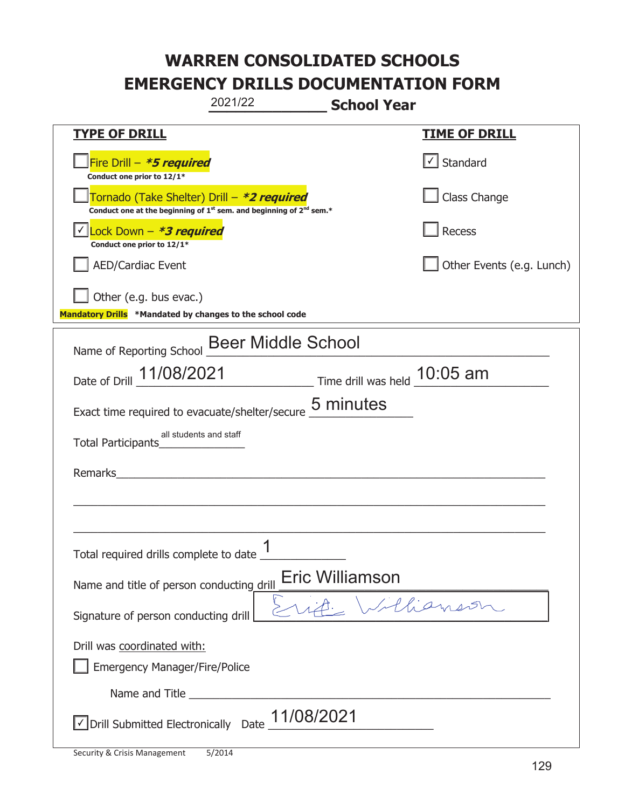|                                                                                    | 2021/22                                                                                     | <b>School Year</b>                                                            |                           |
|------------------------------------------------------------------------------------|---------------------------------------------------------------------------------------------|-------------------------------------------------------------------------------|---------------------------|
| <b>TYPE OF DRILL</b>                                                               |                                                                                             |                                                                               | <u>TIME OF DRILL</u>      |
| Fire Drill - *5 required<br>Conduct one prior to 12/1*                             |                                                                                             |                                                                               | Standard                  |
| Tornado (Take Shelter) Drill – *2 required                                         | Conduct one at the beginning of 1 <sup>st</sup> sem. and beginning of 2 <sup>nd</sup> sem.* |                                                                               | Class Change              |
| Lock Down – <b>*<i>3 required</i></b><br>Conduct one prior to 12/1*                |                                                                                             |                                                                               | Recess                    |
| <b>AED/Cardiac Event</b>                                                           |                                                                                             |                                                                               | Other Events (e.g. Lunch) |
| Other (e.g. bus evac.)<br>Mandatory Drills *Mandated by changes to the school code |                                                                                             |                                                                               |                           |
| Name of Reporting School                                                           | <b>Beer Middle School</b>                                                                   |                                                                               |                           |
| Date of Drill 11/08/2021                                                           |                                                                                             | $\frac{10:05 \text{ am}}{2}$ Time drill was held $\frac{10:05 \text{ am}}{2}$ |                           |
| Exact time required to evacuate/shelter/secure                                     |                                                                                             | 5 minutes                                                                     |                           |
| all students and staff<br><b>Total Participants</b>                                |                                                                                             |                                                                               |                           |
| Remarks                                                                            |                                                                                             |                                                                               |                           |
|                                                                                    |                                                                                             |                                                                               |                           |
| Total required drills complete to date $\frac{1}{1}$                               |                                                                                             |                                                                               |                           |
| Name and title of person conducting drill                                          |                                                                                             | Eric Williamson                                                               |                           |
| Signature of person conducting drill                                               |                                                                                             |                                                                               | Illiament                 |
| Drill was coordinated with:<br><b>Emergency Manager/Fire/Police</b>                |                                                                                             |                                                                               |                           |
|                                                                                    |                                                                                             |                                                                               |                           |
| √ Drill Submitted Electronically Date                                              | 11/08/2021                                                                                  |                                                                               |                           |

t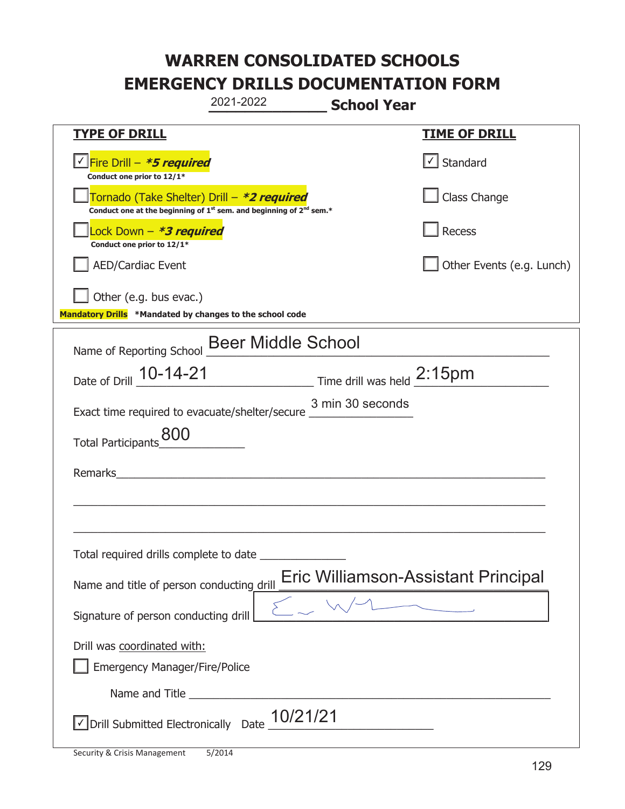|                                                                                    | 2021-2022                                                                                   | <b>School Year</b> |                                     |
|------------------------------------------------------------------------------------|---------------------------------------------------------------------------------------------|--------------------|-------------------------------------|
| <u>TYPE OF DRILL</u>                                                               |                                                                                             |                    | <u>TIME OF DRILL</u>                |
| <u>√ Fire Drill – <i>*5 required</i></u><br>Conduct one prior to 12/1*             |                                                                                             |                    | $\sqrt{\phantom{a}}$ Standard       |
| Tornado (Take Shelter) Drill – *2 required                                         | Conduct one at the beginning of 1 <sup>st</sup> sem. and beginning of 2 <sup>nd</sup> sem.* |                    | Class Change                        |
| Lock Down - <b>*3 required</b><br>Conduct one prior to 12/1*                       |                                                                                             |                    | Recess                              |
| <b>AED/Cardiac Event</b>                                                           |                                                                                             |                    | Other Events (e.g. Lunch)           |
| Other (e.g. bus evac.)<br>Mandatory Drills *Mandated by changes to the school code |                                                                                             |                    |                                     |
| Name of Reporting School Beer Middle School                                        |                                                                                             |                    |                                     |
| Date of Drill 10-14-21                                                             | $\frac{2:15pm}{\text{Time drill was held}}$                                                 |                    |                                     |
| Exact time required to evacuate/shelter/secure _                                   |                                                                                             | 3 min 30 seconds   |                                     |
| Total Participants_800                                                             |                                                                                             |                    |                                     |
| Remarks                                                                            |                                                                                             |                    |                                     |
|                                                                                    |                                                                                             |                    |                                     |
|                                                                                    |                                                                                             |                    |                                     |
| Total required drills complete to date                                             |                                                                                             |                    |                                     |
| Name and title of person conducting drill                                          |                                                                                             |                    | Eric Williamson-Assistant Principal |
| Signature of person conducting drill                                               |                                                                                             |                    |                                     |
| Drill was coordinated with:<br><b>Emergency Manager/Fire/Police</b>                |                                                                                             |                    |                                     |
|                                                                                    |                                                                                             |                    |                                     |
| √ Drill Submitted Electronically Date                                              | 10/21/21                                                                                    |                    |                                     |